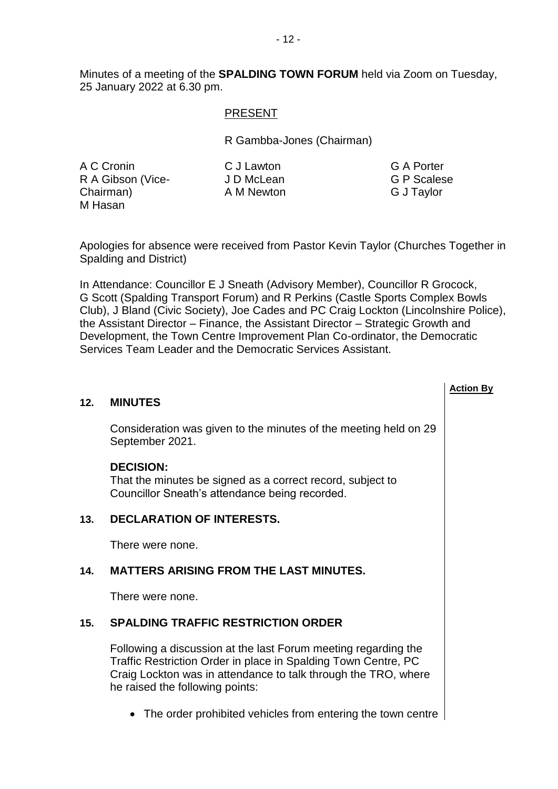Minutes of a meeting of the **SPALDING TOWN FORUM** held via Zoom on Tuesday, 25 January 2022 at 6.30 pm.

#### PRESENT

R Gambba-Jones (Chairman)

A C Cronin R A Gibson (Vice-Chairman) M Hasan

C J Lawton J D McLean A M Newton G A Porter G P Scalese G J Taylor

**Action By**

Apologies for absence were received from Pastor Kevin Taylor (Churches Together in Spalding and District)

In Attendance: Councillor E J Sneath (Advisory Member), Councillor R Grocock, G Scott (Spalding Transport Forum) and R Perkins (Castle Sports Complex Bowls Club), J Bland (Civic Society), Joe Cades and PC Craig Lockton (Lincolnshire Police), the Assistant Director – Finance, the Assistant Director – Strategic Growth and Development, the Town Centre Improvement Plan Co-ordinator, the Democratic Services Team Leader and the Democratic Services Assistant.

| 12. | <b>MINUTES</b>                                                                                                                   |  |
|-----|----------------------------------------------------------------------------------------------------------------------------------|--|
|     | Consideration was given to the minutes of the meeting held on 29<br>September 2021.                                              |  |
|     | <b>DECISION:</b><br>That the minutes be signed as a correct record, subject to<br>Councillor Sneath's attendance being recorded. |  |
| 13. | <b>DECLARATION OF INTERESTS.</b>                                                                                                 |  |
|     | There were none.                                                                                                                 |  |
| 14. | <b>MATTERS ARISING FROM THE LAST MINUTES.</b>                                                                                    |  |

There were none.

## **15. SPALDING TRAFFIC RESTRICTION ORDER**

Following a discussion at the last Forum meeting regarding the Traffic Restriction Order in place in Spalding Town Centre, PC Craig Lockton was in attendance to talk through the TRO, where he raised the following points:

• The order prohibited vehicles from entering the town centre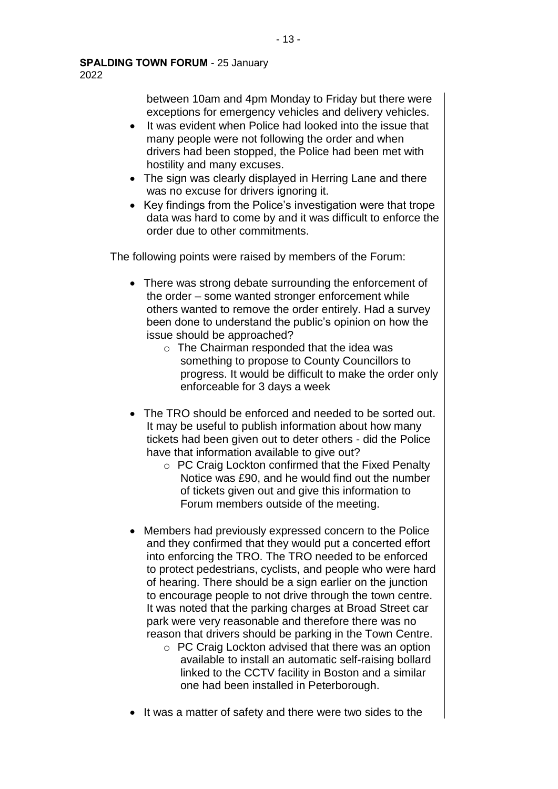between 10am and 4pm Monday to Friday but there were exceptions for emergency vehicles and delivery vehicles.

- It was evident when Police had looked into the issue that many people were not following the order and when drivers had been stopped, the Police had been met with hostility and many excuses.
- The sign was clearly displayed in Herring Lane and there was no excuse for drivers ignoring it.
- Key findings from the Police's investigation were that trope data was hard to come by and it was difficult to enforce the order due to other commitments.

The following points were raised by members of the Forum:

- There was strong debate surrounding the enforcement of the order – some wanted stronger enforcement while others wanted to remove the order entirely. Had a survey been done to understand the public's opinion on how the issue should be approached?
	- o The Chairman responded that the idea was something to propose to County Councillors to progress. It would be difficult to make the order only enforceable for 3 days a week
- The TRO should be enforced and needed to be sorted out. It may be useful to publish information about how many tickets had been given out to deter others - did the Police have that information available to give out?
	- o PC Craig Lockton confirmed that the Fixed Penalty Notice was £90, and he would find out the number of tickets given out and give this information to Forum members outside of the meeting.
- Members had previously expressed concern to the Police and they confirmed that they would put a concerted effort into enforcing the TRO. The TRO needed to be enforced to protect pedestrians, cyclists, and people who were hard of hearing. There should be a sign earlier on the junction to encourage people to not drive through the town centre. It was noted that the parking charges at Broad Street car park were very reasonable and therefore there was no reason that drivers should be parking in the Town Centre.
	- o PC Craig Lockton advised that there was an option available to install an automatic self-raising bollard linked to the CCTV facility in Boston and a similar one had been installed in Peterborough.
- It was a matter of safety and there were two sides to the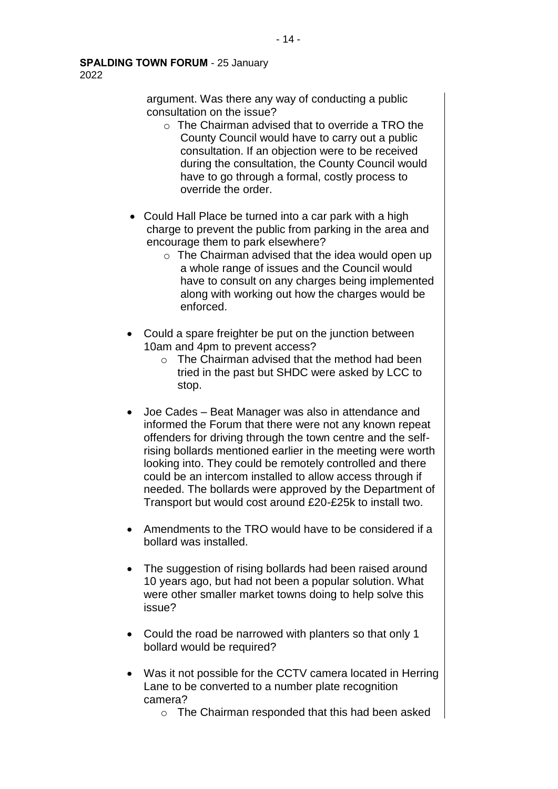argument. Was there any way of conducting a public consultation on the issue?

- o The Chairman advised that to override a TRO the County Council would have to carry out a public consultation. If an objection were to be received during the consultation, the County Council would have to go through a formal, costly process to override the order.
- Could Hall Place be turned into a car park with a high charge to prevent the public from parking in the area and encourage them to park elsewhere?
	- $\circ$  The Chairman advised that the idea would open up a whole range of issues and the Council would have to consult on any charges being implemented along with working out how the charges would be enforced.
- Could a spare freighter be put on the junction between 10am and 4pm to prevent access?
	- o The Chairman advised that the method had been tried in the past but SHDC were asked by LCC to stop.
- Joe Cades Beat Manager was also in attendance and informed the Forum that there were not any known repeat offenders for driving through the town centre and the selfrising bollards mentioned earlier in the meeting were worth looking into. They could be remotely controlled and there could be an intercom installed to allow access through if needed. The bollards were approved by the Department of Transport but would cost around £20-£25k to install two.
- Amendments to the TRO would have to be considered if a bollard was installed.
- The suggestion of rising bollards had been raised around 10 years ago, but had not been a popular solution. What were other smaller market towns doing to help solve this issue?
- Could the road be narrowed with planters so that only 1 bollard would be required?
- Was it not possible for the CCTV camera located in Herring Lane to be converted to a number plate recognition camera?
	- o The Chairman responded that this had been asked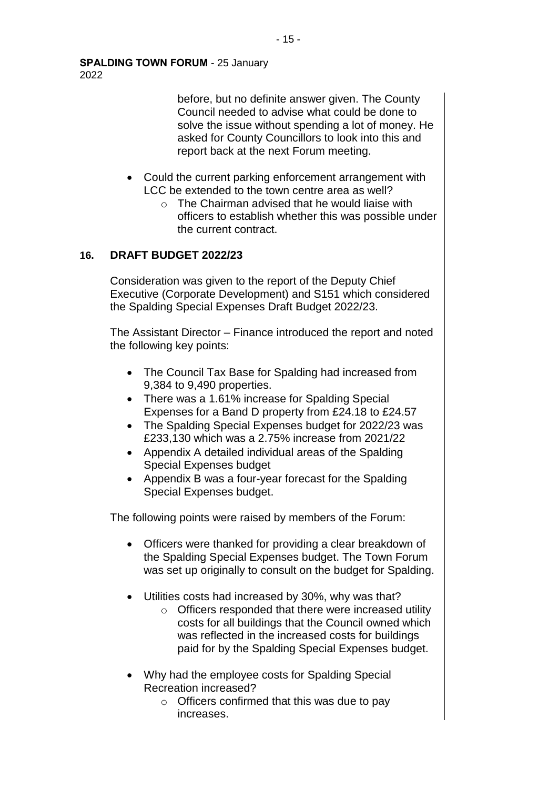**SPALDING TOWN FORUM** - 25 January 2022

> before, but no definite answer given. The County Council needed to advise what could be done to solve the issue without spending a lot of money. He asked for County Councillors to look into this and report back at the next Forum meeting.

- Could the current parking enforcement arrangement with LCC be extended to the town centre area as well?
	- $\circ$  The Chairman advised that he would liaise with officers to establish whether this was possible under the current contract.

## **16. DRAFT BUDGET 2022/23**

Consideration was given to the report of the Deputy Chief Executive (Corporate Development) and S151 which considered the Spalding Special Expenses Draft Budget 2022/23.

The Assistant Director – Finance introduced the report and noted the following key points:

- The Council Tax Base for Spalding had increased from 9,384 to 9,490 properties.
- There was a 1.61% increase for Spalding Special Expenses for a Band D property from £24.18 to £24.57
- The Spalding Special Expenses budget for 2022/23 was £233,130 which was a 2.75% increase from 2021/22
- Appendix A detailed individual areas of the Spalding Special Expenses budget
- Appendix B was a four-year forecast for the Spalding Special Expenses budget.

The following points were raised by members of the Forum:

- Officers were thanked for providing a clear breakdown of the Spalding Special Expenses budget. The Town Forum was set up originally to consult on the budget for Spalding.
- Utilities costs had increased by 30%, why was that?
	- o Officers responded that there were increased utility costs for all buildings that the Council owned which was reflected in the increased costs for buildings paid for by the Spalding Special Expenses budget.
- Why had the employee costs for Spalding Special Recreation increased?
	- $\circ$  Officers confirmed that this was due to pay increases.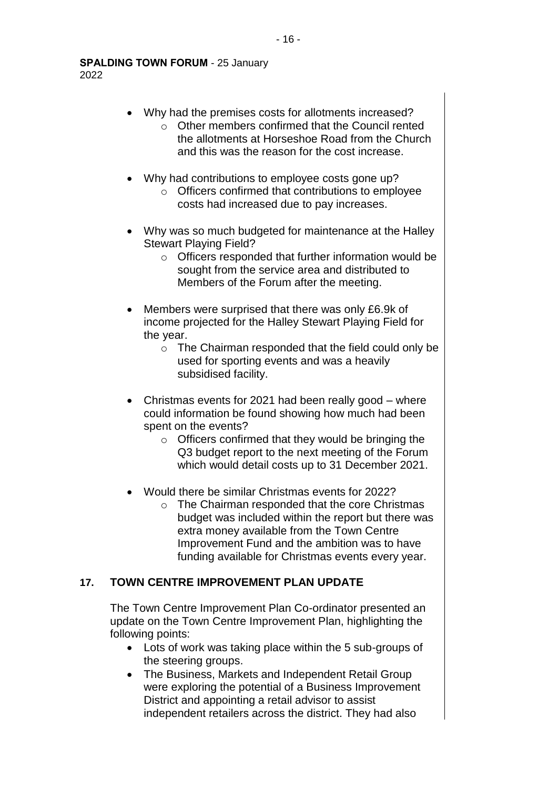- Why had the premises costs for allotments increased?
	- o Other members confirmed that the Council rented the allotments at Horseshoe Road from the Church and this was the reason for the cost increase.
- Why had contributions to employee costs gone up?
	- o Officers confirmed that contributions to employee costs had increased due to pay increases.
- Why was so much budgeted for maintenance at the Halley Stewart Playing Field?
	- o Officers responded that further information would be sought from the service area and distributed to Members of the Forum after the meeting.
- Members were surprised that there was only £6.9k of income projected for the Halley Stewart Playing Field for the year.
	- o The Chairman responded that the field could only be used for sporting events and was a heavily subsidised facility.
- Christmas events for 2021 had been really good where could information be found showing how much had been spent on the events?
	- o Officers confirmed that they would be bringing the Q3 budget report to the next meeting of the Forum which would detail costs up to 31 December 2021.
- Would there be similar Christmas events for 2022?
	- o The Chairman responded that the core Christmas budget was included within the report but there was extra money available from the Town Centre Improvement Fund and the ambition was to have funding available for Christmas events every year.

# **17. TOWN CENTRE IMPROVEMENT PLAN UPDATE**

The Town Centre Improvement Plan Co-ordinator presented an update on the Town Centre Improvement Plan, highlighting the following points:

- Lots of work was taking place within the 5 sub-groups of the steering groups.
- The Business, Markets and Independent Retail Group were exploring the potential of a Business Improvement District and appointing a retail advisor to assist independent retailers across the district. They had also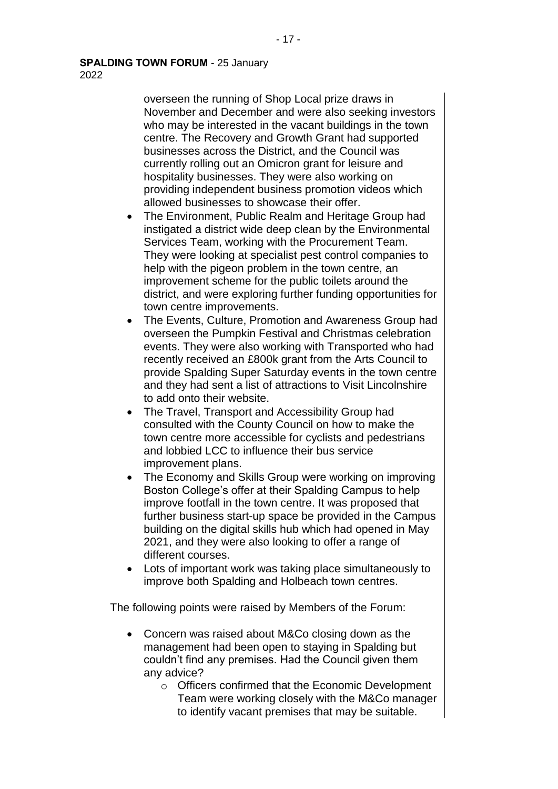2022

overseen the running of Shop Local prize draws in November and December and were also seeking investors who may be interested in the vacant buildings in the town centre. The Recovery and Growth Grant had supported businesses across the District, and the Council was currently rolling out an Omicron grant for leisure and hospitality businesses. They were also working on providing independent business promotion videos which allowed businesses to showcase their offer.

- The Environment, Public Realm and Heritage Group had instigated a district wide deep clean by the Environmental Services Team, working with the Procurement Team. They were looking at specialist pest control companies to help with the pigeon problem in the town centre, an improvement scheme for the public toilets around the district, and were exploring further funding opportunities for town centre improvements.
- The Events, Culture, Promotion and Awareness Group had overseen the Pumpkin Festival and Christmas celebration events. They were also working with Transported who had recently received an £800k grant from the Arts Council to provide Spalding Super Saturday events in the town centre and they had sent a list of attractions to Visit Lincolnshire to add onto their website.
- The Travel, Transport and Accessibility Group had consulted with the County Council on how to make the town centre more accessible for cyclists and pedestrians and lobbied LCC to influence their bus service improvement plans.
- The Economy and Skills Group were working on improving Boston College's offer at their Spalding Campus to help improve footfall in the town centre. It was proposed that further business start-up space be provided in the Campus building on the digital skills hub which had opened in May 2021, and they were also looking to offer a range of different courses.
- Lots of important work was taking place simultaneously to improve both Spalding and Holbeach town centres.

The following points were raised by Members of the Forum:

- Concern was raised about M&Co closing down as the management had been open to staying in Spalding but couldn't find any premises. Had the Council given them any advice?
	- o Officers confirmed that the Economic Development Team were working closely with the M&Co manager to identify vacant premises that may be suitable.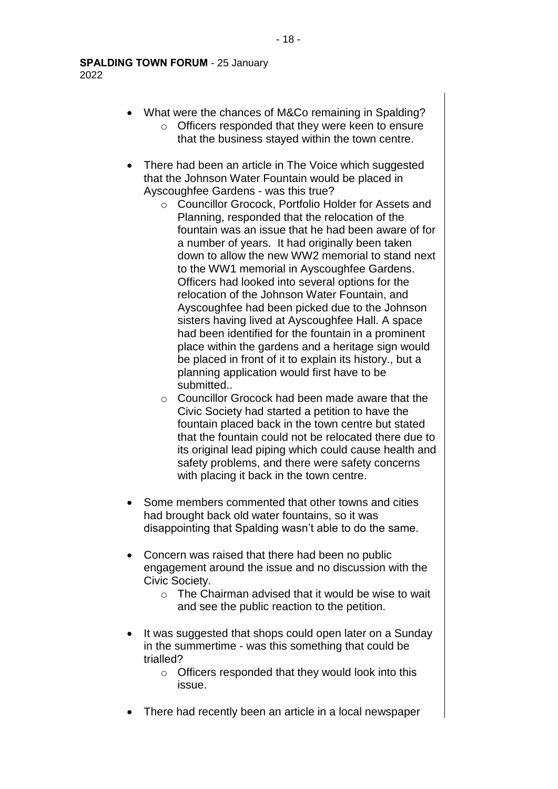**SPALDING TOWN FORUM** - 25 January 2022

- What were the chances of M&Co remaining in Spalding? o Officers responded that they were keen to ensure that the business stayed within the town centre.
- There had been an article in The Voice which suggested that the Johnson Water Fountain would be placed in Ayscoughfee Gardens - was this true?
	- o Councillor Grocock, Portfolio Holder for Assets and Planning, responded that the relocation of the fountain was an issue that he had been aware of for a number of years. It had originally been taken down to allow the new WW2 memorial to stand next to the WW1 memorial in Ayscoughfee Gardens. Officers had looked into several options for the relocation of the Johnson Water Fountain, and Ayscoughfee had been picked due to the Johnson sisters having lived at Ayscoughfee Hall. A space had been identified for the fountain in a prominent place within the gardens and a heritage sign would be placed in front of it to explain its history., but a planning application would first have to be submitted..
	- o Councillor Grocock had been made aware that the Civic Society had started a petition to have the fountain placed back in the town centre but stated that the fountain could not be relocated there due to its original lead piping which could cause health and safety problems, and there were safety concerns with placing it back in the town centre.
- Some members commented that other towns and cities had brought back old water fountains, so it was disappointing that Spalding wasn't able to do the same.
- Concern was raised that there had been no public engagement around the issue and no discussion with the Civic Society.
	- o The Chairman advised that it would be wise to wait and see the public reaction to the petition.
- It was suggested that shops could open later on a Sunday in the summertime - was this something that could be trialled?
	- o Officers responded that they would look into this issue.
- There had recently been an article in a local newspaper